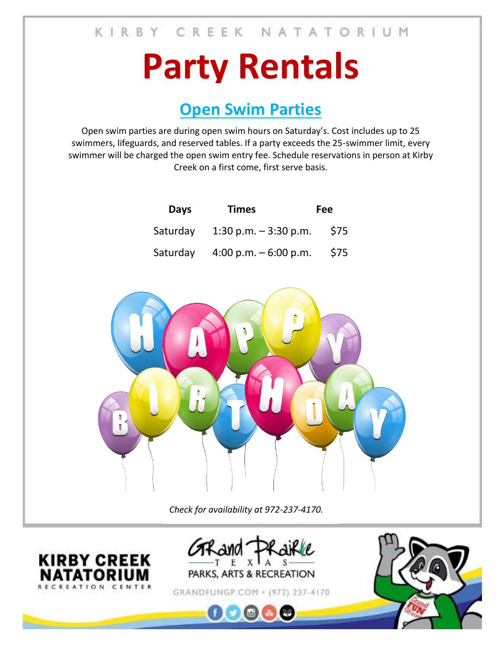## **Party Rentals**

## **Open Swim Parties**

Open swim parties are during open swim hours on Saturday's. Cost includes up to 25 swimmers, lifeguards, and reserved tables. If a party exceeds the 25-swimmer limit, every swimmer will be charged the open swim entry fee. Schedule reservations in person at Kirby Creek on a first come, first serve basis.

| <b>Days</b> | <b>Times</b>           | <b>Fee</b> |
|-------------|------------------------|------------|
| Saturday    | 1:30 p.m. $-3:30$ p.m. | \$75       |
| Saturday    | 4:00 p.m. $-6:00$ p.m. | \$75       |



*Check for availability at 972-237-4170.*





GRANDFUNGP.COM + (972) 237-4170